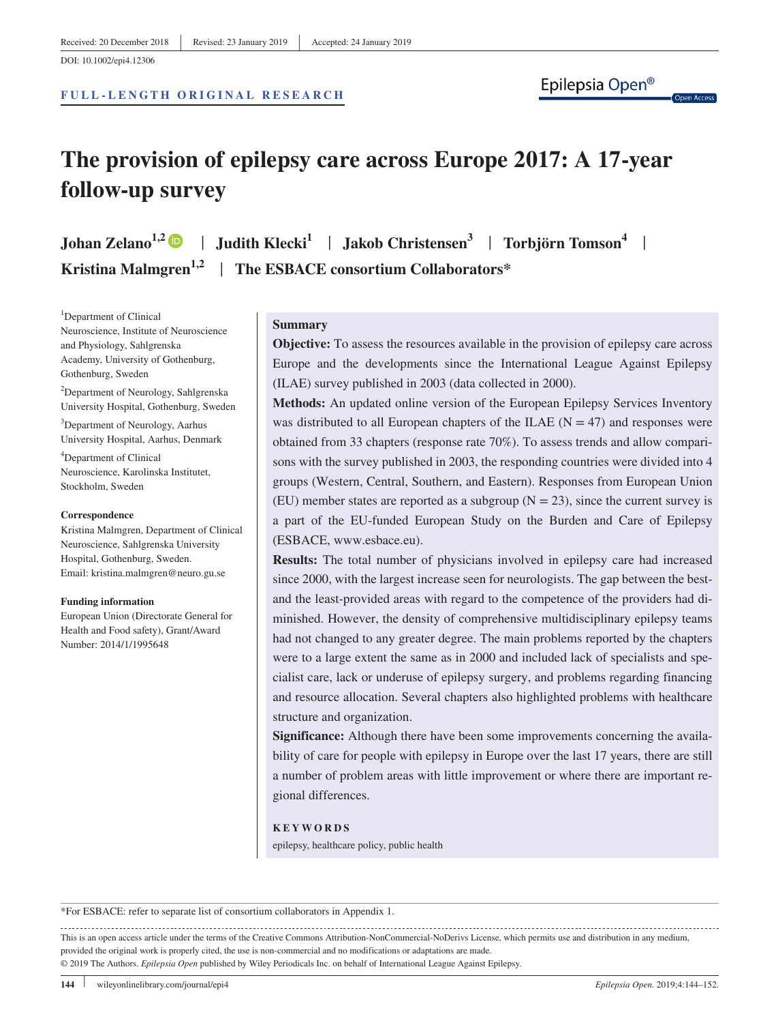#### **FULL- LENGTH ORIGINAL RESEARCH**

Ipon Accord

# **The provision of epilepsy care across Europe 2017: A 17-year follow-up survey**

**Johan Zelano<sup>1,2</sup>**  $\bullet$  **| Judith Klecki**<sup>1</sup> | **Jakob Christensen**<sup>3</sup> | **Torbjörn Tomson**<sup>4</sup> | **Kristina Malmgren1,2** | **The ESBACE consortium Collaborators\***

<sup>1</sup>Department of Clinical Neuroscience, Institute of Neuroscience and Physiology, Sahlgrenska Academy, University of Gothenburg, Gothenburg, Sweden

2 Department of Neurology, Sahlgrenska University Hospital, Gothenburg, Sweden

3 Department of Neurology, Aarhus University Hospital, Aarhus, Denmark

4 Department of Clinical Neuroscience, Karolinska Institutet, Stockholm, Sweden

#### **Correspondence**

Kristina Malmgren, Department of Clinical Neuroscience, Sahlgrenska University Hospital, Gothenburg, Sweden. Email: [kristina.malmgren@neuro.gu.se](mailto:kristina.malmgren@neuro.gu.se)

#### **Funding information**

European Union (Directorate General for Health and Food safety), Grant/Award Number: 2014/1/1995648

#### **Summary**

**Objective:** To assess the resources available in the provision of epilepsy care across Europe and the developments since the International League Against Epilepsy (ILAE) survey published in 2003 (data collected in 2000).

**Methods:** An updated online version of the European Epilepsy Services Inventory was distributed to all European chapters of the ILAE ( $N = 47$ ) and responses were obtained from 33 chapters (response rate 70%). To assess trends and allow comparisons with the survey published in 2003, the responding countries were divided into 4 groups (Western, Central, Southern, and Eastern). Responses from European Union (EU) member states are reported as a subgroup  $(N = 23)$ , since the current survey is a part of the EU-funded European Study on the Burden and Care of Epilepsy (ESBACE, [www.esbace.eu](https://www.esbace.eu)).

**Results:** The total number of physicians involved in epilepsy care had increased since 2000, with the largest increase seen for neurologists. The gap between the bestand the least-provided areas with regard to the competence of the providers had diminished. However, the density of comprehensive multidisciplinary epilepsy teams had not changed to any greater degree. The main problems reported by the chapters were to a large extent the same as in 2000 and included lack of specialists and specialist care, lack or underuse of epilepsy surgery, and problems regarding financing and resource allocation. Several chapters also highlighted problems with healthcare structure and organization.

**Significance:** Although there have been some improvements concerning the availability of care for people with epilepsy in Europe over the last 17 years, there are still a number of problem areas with little improvement or where there are important regional differences.

#### **KEYWORDS**

epilepsy, healthcare policy, public health

\*For ESBACE: refer to separate list of consortium collaborators in Appendix 1.

This is an open access article under the terms of the [Creative Commons Attribution-NonCommercial-NoDerivs](http://creativecommons.org/licenses/by-nc-nd/4.0/) License, which permits use and distribution in any medium, provided the original work is properly cited, the use is non-commercial and no modifications or adaptations are made. © 2019 The Authors. *Epilepsia Open* published by Wiley Periodicals Inc. on behalf of International League Against Epilepsy.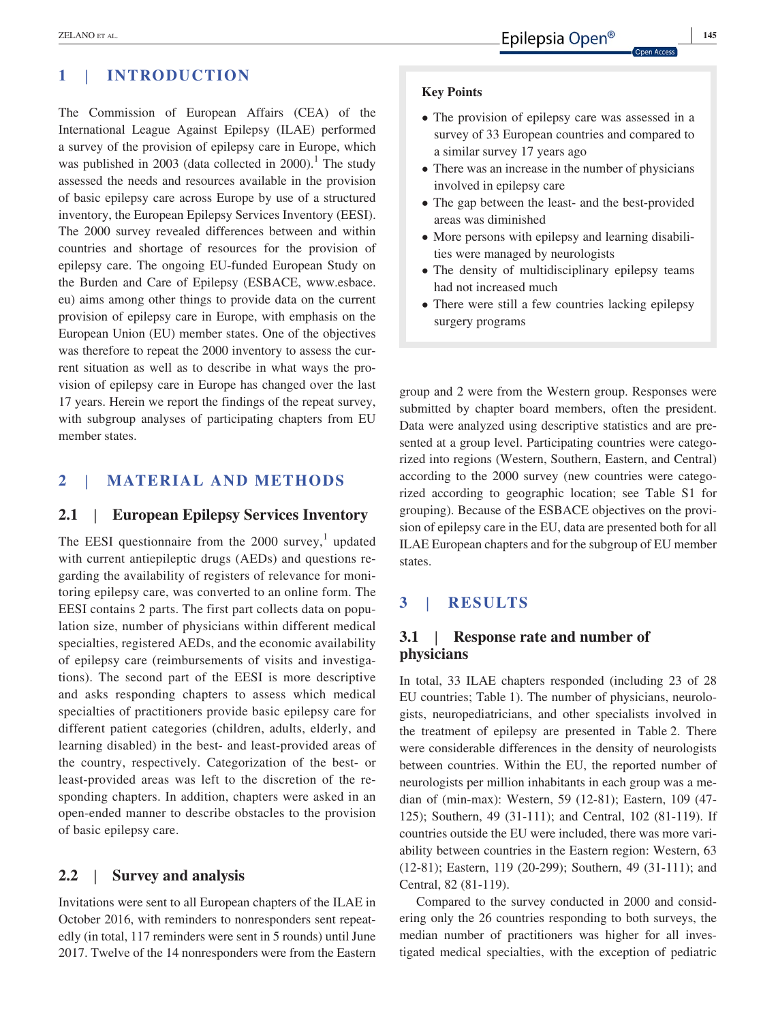# **1** | **INTRODUCTION**

The Commission of European Affairs (CEA) of the International League Against Epilepsy (ILAE) performed a survey of the provision of epilepsy care in Europe, which was published in 2003 (data collected in  $2000$ ).<sup>1</sup> The study assessed the needs and resources available in the provision of basic epilepsy care across Europe by use of a structured inventory, the European Epilepsy Services Inventory (EESI). The 2000 survey revealed differences between and within countries and shortage of resources for the provision of epilepsy care. The ongoing EU-funded European Study on the Burden and Care of Epilepsy (ESBACE, [www.esbace.](http://www.esbace.eu) [eu](http://www.esbace.eu)) aims among other things to provide data on the current provision of epilepsy care in Europe, with emphasis on the European Union (EU) member states. One of the objectives was therefore to repeat the 2000 inventory to assess the current situation as well as to describe in what ways the provision of epilepsy care in Europe has changed over the last 17 years. Herein we report the findings of the repeat survey, with subgroup analyses of participating chapters from EU member states.

# **2** | **MATERIAL AND METHODS**

## **2.1** | **European Epilepsy Services Inventory**

The EESI questionnaire from the  $2000 \text{ survey}$ , updated with current antiepileptic drugs (AEDs) and questions regarding the availability of registers of relevance for monitoring epilepsy care, was converted to an online form. The EESI contains 2 parts. The first part collects data on population size, number of physicians within different medical specialties, registered AEDs, and the economic availability of epilepsy care (reimbursements of visits and investigations). The second part of the EESI is more descriptive and asks responding chapters to assess which medical specialties of practitioners provide basic epilepsy care for different patient categories (children, adults, elderly, and learning disabled) in the best- and least-provided areas of the country, respectively. Categorization of the best- or least-provided areas was left to the discretion of the responding chapters. In addition, chapters were asked in an open-ended manner to describe obstacles to the provision of basic epilepsy care.

# **2.2** | **Survey and analysis**

Invitations were sent to all European chapters of the ILAE in October 2016, with reminders to nonresponders sent repeatedly (in total, 117 reminders were sent in 5 rounds) until June 2017. Twelve of the 14 nonresponders were from the Eastern

#### **Key Points**

- The provision of epilepsy care was assessed in a survey of 33 European countries and compared to a similar survey 17 years ago
- There was an increase in the number of physicians involved in epilepsy care
- The gap between the least- and the best-provided areas was diminished
- More persons with epilepsy and learning disabilities were managed by neurologists
- The density of multidisciplinary epilepsy teams had not increased much
- There were still a few countries lacking epilepsy surgery programs

group and 2 were from the Western group. Responses were submitted by chapter board members, often the president. Data were analyzed using descriptive statistics and are presented at a group level. Participating countries were categorized into regions (Western, Southern, Eastern, and Central) according to the 2000 survey (new countries were categorized according to geographic location; see Table S1 for grouping). Because of the ESBACE objectives on the provision of epilepsy care in the EU, data are presented both for all ILAE European chapters and for the subgroup of EU member states.

# **3** | **RESULTS**

# **3.1** | **Response rate and number of physicians**

In total, 33 ILAE chapters responded (including 23 of 28 EU countries; Table 1). The number of physicians, neurologists, neuropediatricians, and other specialists involved in the treatment of epilepsy are presented in Table 2. There were considerable differences in the density of neurologists between countries. Within the EU, the reported number of neurologists per million inhabitants in each group was a median of (min-max): Western, 59 (12-81); Eastern, 109 (47- 125); Southern, 49 (31-111); and Central, 102 (81-119). If countries outside the EU were included, there was more variability between countries in the Eastern region: Western, 63 (12-81); Eastern, 119 (20-299); Southern, 49 (31-111); and Central, 82 (81-119).

Compared to the survey conducted in 2000 and considering only the 26 countries responding to both surveys, the median number of practitioners was higher for all investigated medical specialties, with the exception of pediatric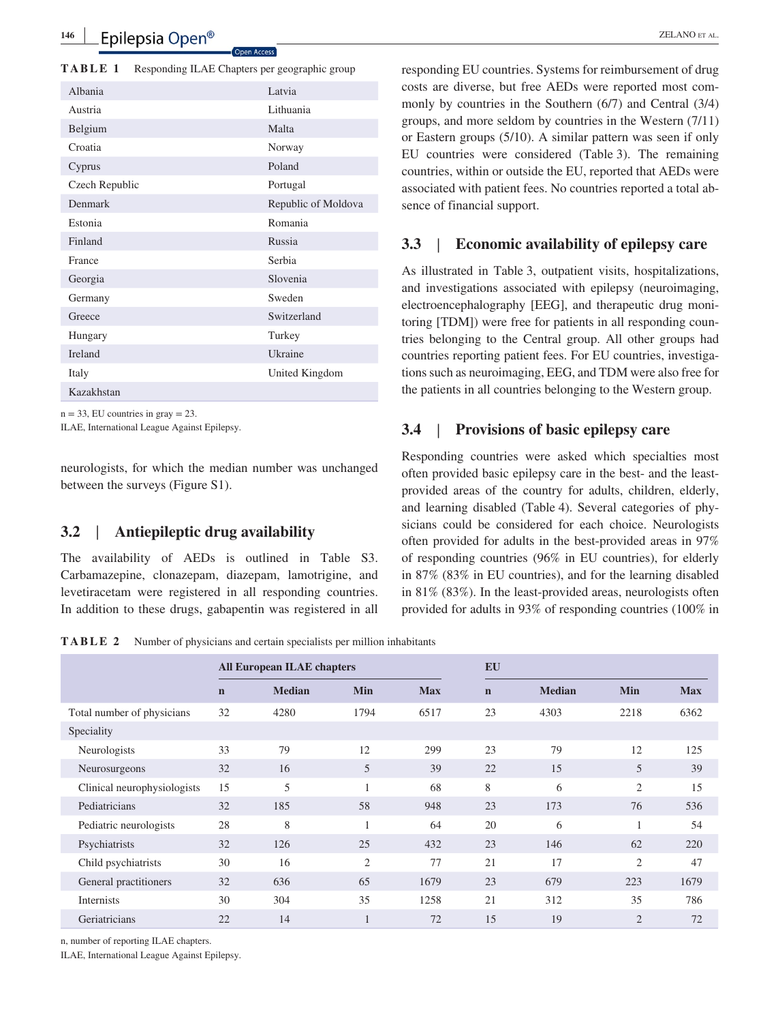**TABLE 1** Responding ILAE Chapters per geographic group

| Albania        | Latvia              |
|----------------|---------------------|
| Austria        | Lithuania           |
| Belgium        | Malta               |
| Croatia        | Norway              |
| Cyprus         | Poland              |
| Czech Republic | Portugal            |
| Denmark        | Republic of Moldova |
| Estonia        | Romania             |
| Finland        | Russia              |
| France         | Serbia              |
| Georgia        | Slovenia            |
| Germany        | Sweden              |
| Greece         | Switzerland         |
| Hungary        | Turkey              |
| <b>Ireland</b> | Ukraine             |
| Italy          | United Kingdom      |
| Kazakhstan     |                     |
|                |                     |

 $n = 33$ , EU countries in gray  $= 23$ .

ILAE, International League Against Epilepsy.

neurologists, for which the median number was unchanged between the surveys (Figure S1).

# **3.2** | **Antiepileptic drug availability**

The availability of AEDs is outlined in Table S3. Carbamazepine, clonazepam, diazepam, lamotrigine, and levetiracetam were registered in all responding countries. In addition to these drugs, gabapentin was registered in all

responding EU countries. Systems for reimbursement of drug costs are diverse, but free AEDs were reported most commonly by countries in the Southern (6/7) and Central (3/4) groups, and more seldom by countries in the Western (7/11) or Eastern groups (5/10). A similar pattern was seen if only EU countries were considered (Table 3). The remaining countries, within or outside the EU, reported that AEDs were associated with patient fees. No countries reported a total absence of financial support.

### **3.3** | **Economic availability of epilepsy care**

As illustrated in Table 3, outpatient visits, hospitalizations, and investigations associated with epilepsy (neuroimaging, electroencephalography [EEG], and therapeutic drug monitoring [TDM]) were free for patients in all responding countries belonging to the Central group. All other groups had countries reporting patient fees. For EU countries, investigations such as neuroimaging, EEG, and TDM were also free for the patients in all countries belonging to the Western group.

### **3.4** | **Provisions of basic epilepsy care**

Responding countries were asked which specialties most often provided basic epilepsy care in the best- and the leastprovided areas of the country for adults, children, elderly, and learning disabled (Table 4). Several categories of physicians could be considered for each choice. Neurologists often provided for adults in the best-provided areas in 97% of responding countries (96% in EU countries), for elderly in 87% (83% in EU countries), and for the learning disabled in 81% (83%). In the least-provided areas, neurologists often provided for adults in 93% of responding countries (100% in

**TABLE 2** Number of physicians and certain specialists per million inhabitants

|                             |             | <b>All European ILAE chapters</b> |                |            | <b>EU</b>   |               |                |            |
|-----------------------------|-------------|-----------------------------------|----------------|------------|-------------|---------------|----------------|------------|
|                             | $\mathbf n$ | <b>Median</b>                     | <b>Min</b>     | <b>Max</b> | $\mathbf n$ | <b>Median</b> | Min            | <b>Max</b> |
| Total number of physicians  | 32          | 4280                              | 1794           | 6517       | 23          | 4303          | 2218           | 6362       |
| Speciality                  |             |                                   |                |            |             |               |                |            |
| Neurologists                | 33          | 79                                | 12             | 299        | 23          | 79            | 12             | 125        |
| Neurosurgeons               | 32          | 16                                | 5              | 39         | 22          | 15            | 5              | 39         |
| Clinical neurophysiologists | 15          | 5                                 |                | 68         | 8           | 6             | $\overline{2}$ | 15         |
| Pediatricians               | 32          | 185                               | 58             | 948        | 23          | 173           | 76             | 536        |
| Pediatric neurologists      | 28          | 8                                 |                | 64         | 20          | 6             |                | 54         |
| Psychiatrists               | 32          | 126                               | 25             | 432        | 23          | 146           | 62             | 220        |
| Child psychiatrists         | 30          | 16                                | $\overline{c}$ | 77         | 21          | 17            | $\overline{2}$ | 47         |
| General practitioners       | 32          | 636                               | 65             | 1679       | 23          | 679           | 223            | 1679       |
| Internists                  | 30          | 304                               | 35             | 1258       | 21          | 312           | 35             | 786        |
| Geriatricians               | 22          | 14                                |                | 72         | 15          | 19            | $\overline{2}$ | 72         |

n, number of reporting ILAE chapters.

ILAE, International League Against Epilepsy.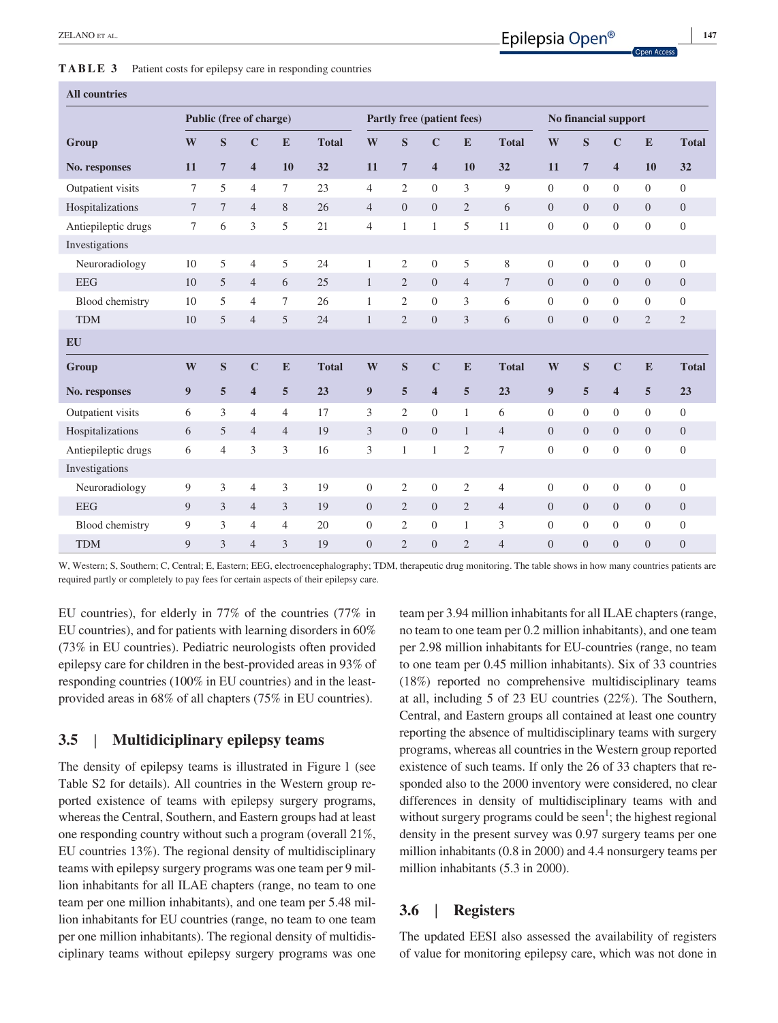**TABLE 3** Patient costs for epilepsy care in responding countries

| Public (free of charge)<br>Partly free (patient fees)<br>S<br>$\mathbf C$<br>W<br>S<br>$\mathbf C$<br>${\bf E}$<br>W<br>W<br>E<br><b>Total</b><br><b>Total</b><br>Group<br>$\overline{7}$<br>32<br>$\overline{7}$<br>$\overline{\mathbf{4}}$<br>11<br>$\overline{\mathbf{4}}$<br>10<br>11<br>10<br>32<br>11<br>No. responses<br>5<br>3<br>9<br>$\theta$<br>Outpatient visits<br>$\overline{4}$<br>7<br>23<br>$\overline{4}$<br>2<br>$\mathbf{0}$<br>7<br>Hospitalizations<br>$\mathfrak{2}$<br>$\overline{7}$<br>8<br>26<br>$\overline{0}$<br>$\mathbf{0}$<br>$\overline{0}$<br>7<br>$\overline{4}$<br>$\overline{4}$<br>6 | S<br>$\overline{7}$<br>$\theta$<br>$\overline{0}$ | No financial support<br>$\mathbf C$<br>$\overline{\mathbf{4}}$<br>$\overline{0}$ | E<br>10<br>$\overline{0}$ | <b>Total</b><br>32 |
|----------------------------------------------------------------------------------------------------------------------------------------------------------------------------------------------------------------------------------------------------------------------------------------------------------------------------------------------------------------------------------------------------------------------------------------------------------------------------------------------------------------------------------------------------------------------------------------------------------------------------|---------------------------------------------------|----------------------------------------------------------------------------------|---------------------------|--------------------|
|                                                                                                                                                                                                                                                                                                                                                                                                                                                                                                                                                                                                                            |                                                   |                                                                                  |                           |                    |
|                                                                                                                                                                                                                                                                                                                                                                                                                                                                                                                                                                                                                            |                                                   |                                                                                  |                           |                    |
|                                                                                                                                                                                                                                                                                                                                                                                                                                                                                                                                                                                                                            |                                                   |                                                                                  |                           |                    |
|                                                                                                                                                                                                                                                                                                                                                                                                                                                                                                                                                                                                                            |                                                   |                                                                                  |                           | $\overline{0}$     |
|                                                                                                                                                                                                                                                                                                                                                                                                                                                                                                                                                                                                                            |                                                   | $\overline{0}$                                                                   | $\Omega$                  | $\mathbf{0}$       |
| 5<br>6<br>3<br>5<br>$\boldsymbol{0}$<br>21<br>11<br>Antiepileptic drugs<br>7<br>$\overline{4}$<br>$\mathbf{1}$<br>1                                                                                                                                                                                                                                                                                                                                                                                                                                                                                                        | $\boldsymbol{0}$                                  | $\theta$                                                                         | $\mathbf{0}$              | $\theta$           |
| Investigations                                                                                                                                                                                                                                                                                                                                                                                                                                                                                                                                                                                                             |                                                   |                                                                                  |                           |                    |
| 5<br>5<br>$\boldsymbol{0}$<br>5<br>8<br>Neuroradiology<br>$\overline{4}$<br>24<br>$\mathfrak{2}$<br>$\boldsymbol{0}$<br>10<br>1                                                                                                                                                                                                                                                                                                                                                                                                                                                                                            | $\boldsymbol{0}$                                  | $\boldsymbol{0}$                                                                 | $\overline{0}$            | $\theta$           |
| <b>EEG</b><br>5<br>25<br>$\mathfrak{2}$<br>$\overline{0}$<br>10<br>$\overline{4}$<br>6<br>$\mathbf{0}$<br>$\overline{4}$<br>7<br>$\mathbf{1}$                                                                                                                                                                                                                                                                                                                                                                                                                                                                              | $\overline{0}$                                    | $\overline{0}$                                                                   | $\overline{0}$            | $\mathbf{0}$       |
| 3<br>Blood chemistry<br>5<br>2<br>$\mathbf{0}$<br>6<br>$\boldsymbol{0}$<br>10<br>$\overline{4}$<br>7<br>26<br>1                                                                                                                                                                                                                                                                                                                                                                                                                                                                                                            | $\boldsymbol{0}$                                  | $\theta$                                                                         | $\overline{0}$            | $\overline{0}$     |
| <b>TDM</b><br>10<br>5<br>$\overline{4}$<br>5<br>24<br>$\overline{2}$<br>$\overline{0}$<br>3<br>$\overline{0}$<br>6<br>1                                                                                                                                                                                                                                                                                                                                                                                                                                                                                                    | $\overline{0}$                                    | $\overline{0}$                                                                   | $\overline{2}$            | $\overline{2}$     |
| <b>EU</b>                                                                                                                                                                                                                                                                                                                                                                                                                                                                                                                                                                                                                  |                                                   |                                                                                  |                           |                    |
| S<br>$\mathbf C$<br>S<br>$\mathbf C$<br>W<br>E<br><b>Total</b><br>W<br>E<br><b>Total</b><br>W<br>Group                                                                                                                                                                                                                                                                                                                                                                                                                                                                                                                     | S                                                 | $\mathbf C$                                                                      | E                         | <b>Total</b>       |
| 5<br>$\overline{\mathbf{4}}$<br>5<br>23<br>9<br>5<br>$\overline{\mathbf{4}}$<br>5<br>23<br>9<br>9<br>No. responses                                                                                                                                                                                                                                                                                                                                                                                                                                                                                                         | 5                                                 | $\overline{\mathbf{4}}$                                                          | $\overline{5}$            | 23                 |
| 3<br>$\boldsymbol{0}$<br>6<br>$\overline{4}$<br>17<br>3<br>$\mathfrak{2}$<br>6<br>$\theta$<br>Outpatient visits<br>$\overline{4}$<br>$\mathbf{1}$                                                                                                                                                                                                                                                                                                                                                                                                                                                                          | $\theta$                                          | $\overline{0}$                                                                   | $\overline{0}$            | $\theta$           |
| Hospitalizations<br>3<br>5<br>19<br>$\Omega$<br>$\mathbf{0}$<br>$\overline{4}$<br>$\overline{0}$<br>6<br>$\overline{4}$<br>$\overline{4}$<br>$\mathbf{1}$                                                                                                                                                                                                                                                                                                                                                                                                                                                                  | $\overline{0}$                                    | $\Omega$                                                                         | $\Omega$                  | $\overline{0}$     |
| 3<br>3<br>$\mathfrak{2}$<br>$\mathbf{0}$<br>6<br>$\overline{4}$<br>16<br>3<br>7<br>Antiepileptic drugs<br>$\mathbf{1}$<br>1                                                                                                                                                                                                                                                                                                                                                                                                                                                                                                | $\boldsymbol{0}$                                  | $\overline{0}$                                                                   | $\boldsymbol{0}$          | $\mathbf{0}$       |
| Investigations                                                                                                                                                                                                                                                                                                                                                                                                                                                                                                                                                                                                             |                                                   |                                                                                  |                           |                    |
| 3<br>$\mathfrak{2}$<br>Neuroradiology<br>9<br>3<br>$\overline{4}$<br>19<br>$\overline{0}$<br>$\overline{2}$<br>$\boldsymbol{0}$<br>$\boldsymbol{0}$<br>4                                                                                                                                                                                                                                                                                                                                                                                                                                                                   | $\boldsymbol{0}$                                  | $\theta$                                                                         | $\overline{0}$            | $\theta$           |
| <b>EEG</b><br>9<br>3<br>3<br>19<br>$\overline{0}$<br>$\mathbf{2}$<br>$\mathbf{0}$<br>$\mathbf{2}$<br>$\boldsymbol{0}$<br>$\overline{4}$<br>$\overline{4}$                                                                                                                                                                                                                                                                                                                                                                                                                                                                  | $\boldsymbol{0}$                                  | $\overline{0}$                                                                   | $\overline{0}$            | $\mathbf{0}$       |
| 9<br>3<br>$\mathbf{0}$<br>3<br>$\overline{0}$<br>Blood chemistry<br>$\overline{4}$<br>$\overline{4}$<br>20<br>$\mathbf{0}$<br>2<br>1                                                                                                                                                                                                                                                                                                                                                                                                                                                                                       | $\overline{0}$                                    | $\overline{0}$                                                                   | $\overline{0}$            | $\theta$           |

W, Western; S, Southern; C, Central; E, Eastern; EEG, electroencephalography; TDM, therapeutic drug monitoring. The table shows in how many countries patients are required partly or completely to pay fees for certain aspects of their epilepsy care.

TDM 9 3 4 3 19 0 2 0 2 4 0 0 0 0 0

EU countries), for elderly in 77% of the countries (77% in EU countries), and for patients with learning disorders in 60% (73% in EU countries). Pediatric neurologists often provided epilepsy care for children in the best-provided areas in 93% of responding countries (100% in EU countries) and in the leastprovided areas in 68% of all chapters (75% in EU countries).

## **3.5** | **Multidiciplinary epilepsy teams**

The density of epilepsy teams is illustrated in Figure 1 (see Table S2 for details). All countries in the Western group reported existence of teams with epilepsy surgery programs, whereas the Central, Southern, and Eastern groups had at least one responding country without such a program (overall 21%, EU countries 13%). The regional density of multidisciplinary teams with epilepsy surgery programs was one team per 9 million inhabitants for all ILAE chapters (range, no team to one team per one million inhabitants), and one team per 5.48 million inhabitants for EU countries (range, no team to one team per one million inhabitants). The regional density of multidisciplinary teams without epilepsy surgery programs was one team per 3.94 million inhabitants for all ILAE chapters (range, no team to one team per 0.2 million inhabitants), and one team per 2.98 million inhabitants for EU-countries (range, no team to one team per 0.45 million inhabitants). Six of 33 countries (18%) reported no comprehensive multidisciplinary teams at all, including 5 of 23 EU countries (22%). The Southern, Central, and Eastern groups all contained at least one country reporting the absence of multidisciplinary teams with surgery programs, whereas all countries in the Western group reported existence of such teams. If only the 26 of 33 chapters that responded also to the 2000 inventory were considered, no clear differences in density of multidisciplinary teams with and without surgery programs could be seen<sup>1</sup>; the highest regional density in the present survey was 0.97 surgery teams per one million inhabitants (0.8 in 2000) and 4.4 nonsurgery teams per million inhabitants (5.3 in 2000).

### **3.6** | **Registers**

The updated EESI also assessed the availability of registers of value for monitoring epilepsy care, which was not done in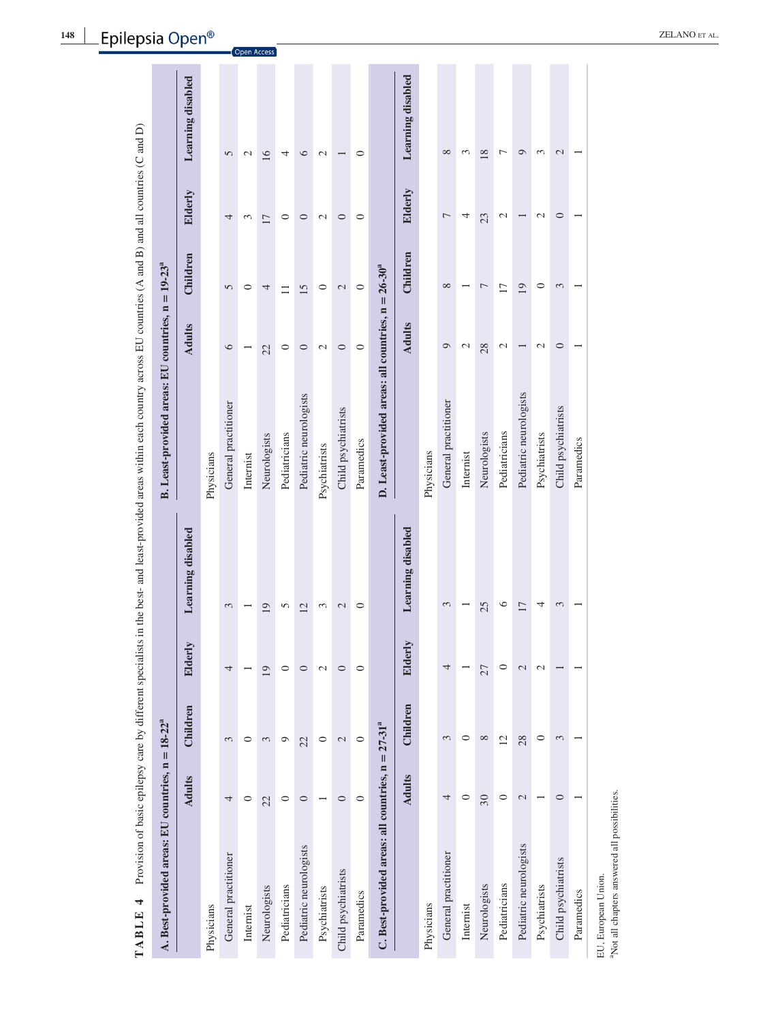| A. Best-provided areas: EU countries, $n = 18-22a$  |               |                 |               |                   | B. Least-provided areas: EU countries, $n = 19-23a$   |                 |                 |                          |                   |
|-----------------------------------------------------|---------------|-----------------|---------------|-------------------|-------------------------------------------------------|-----------------|-----------------|--------------------------|-------------------|
|                                                     | <b>Adults</b> | Children        | Elderly       | Learning disabled |                                                       | <b>Adults</b>   | Children        | Elderly                  | Learning disabled |
| Physicians                                          |               |                 |               |                   | Physicians                                            |                 |                 |                          |                   |
| General practitioner                                | 4             | 3               | 4             | 3                 | General practitioner                                  | $\circ$         | 5               | 4                        | 5                 |
| Internist                                           | 0             | $\circ$         |               |                   | Internist                                             |                 | 0               | 3                        | $\mathcal{L}$     |
| Neurologists                                        | 22            | 3               | 19            | 19                | Neurologists                                          | 22              | 4               | 17                       | $\overline{16}$   |
| Pediatricians                                       | $\circ$       | ٥               | $\circ$       | 5                 | Pediatricians                                         | $\circ$         | $\Xi$           | $\circ$                  | 4                 |
| Pediatric neurologists                              | $\circ$       | 22              | $\circ$       | 12                | Pediatric neurologists                                | $\circ$         | 15              | $\circ$                  | $\circ$           |
| Psychiatrists                                       |               | 0               | $\mathcal{L}$ | 3                 | Psychiatrists                                         | Z               | 0               | $\overline{\mathcal{C}}$ | $\mathcal{C}$     |
| Child psychiatrists                                 | $\circ$       | 2               | $\circ$       | $\mathcal{L}$     | Child psychiatrists                                   | $\circ$         | $\mathcal{L}$   | $\circ$                  |                   |
| Paramedics                                          | $\circ$       | $\circ$         | $\circ$       | $\circ$           | Paramedics                                            | $\circ$         | $\circ$         | $\circ$                  | 0                 |
| C. Best-provided areas: all countries, $n = 27-31a$ |               |                 |               |                   | D. Least-provided areas: all countries, $n = 26-30^a$ |                 |                 |                          |                   |
|                                                     | <b>Adults</b> | Children        | Elderly       | Learning disabled |                                                       | <b>Adults</b>   | Children        | Elderly                  | Learning disabled |
| Physicians                                          |               |                 |               |                   | Physicians                                            |                 |                 |                          |                   |
| General practitioner                                | 4             | 3               | 4             | 3                 | General practitioner                                  | ٥               | $\infty$        | 7                        | $\infty$          |
| Internist                                           | $\circ$       | 0               |               |                   | Internist                                             | 2               |                 | 4                        | 3                 |
| Neurologists                                        | 30            | ${}^{\circ}$    | 27            | 25                | Neurologists                                          | 28              | Γ               | 23                       | 18                |
| Pediatricians                                       | $\circ$       | $\overline{12}$ | $\circ$       | 6                 | Pediatricians                                         | $\mathcal{C}$   | $\overline{17}$ | $\mathcal{L}$            | $\overline{ }$    |
| Pediatric neurologists                              | $\mathcal{L}$ | 28              | $\mathcal{L}$ | $\overline{17}$   | Pediatric neurologists                                |                 | 19              |                          | $\circ$           |
| Psychiatrists                                       |               | $\circ$         | $\mathcal{L}$ | 4                 | Psychiatrists                                         | $\mathbf{\sim}$ | $\circ$         | $\mathbf{\sim}$          | 3                 |
| Child psychiatrists                                 | $\circ$       | 3               |               | 3                 | Child psychiatrists                                   | $\circ$         | 3               | $\circ$                  | 2                 |
| Paramedics                                          |               |                 |               |                   | Paramedics                                            |                 |                 |                          |                   |
| EU, European Union.                                 |               |                 |               |                   |                                                       |                 |                 |                          |                   |

**148 |** \_Epilepsia Open®

<sup>a</sup>Not all chapters answered all possibilities.

aNot all chapters answered all possibilities.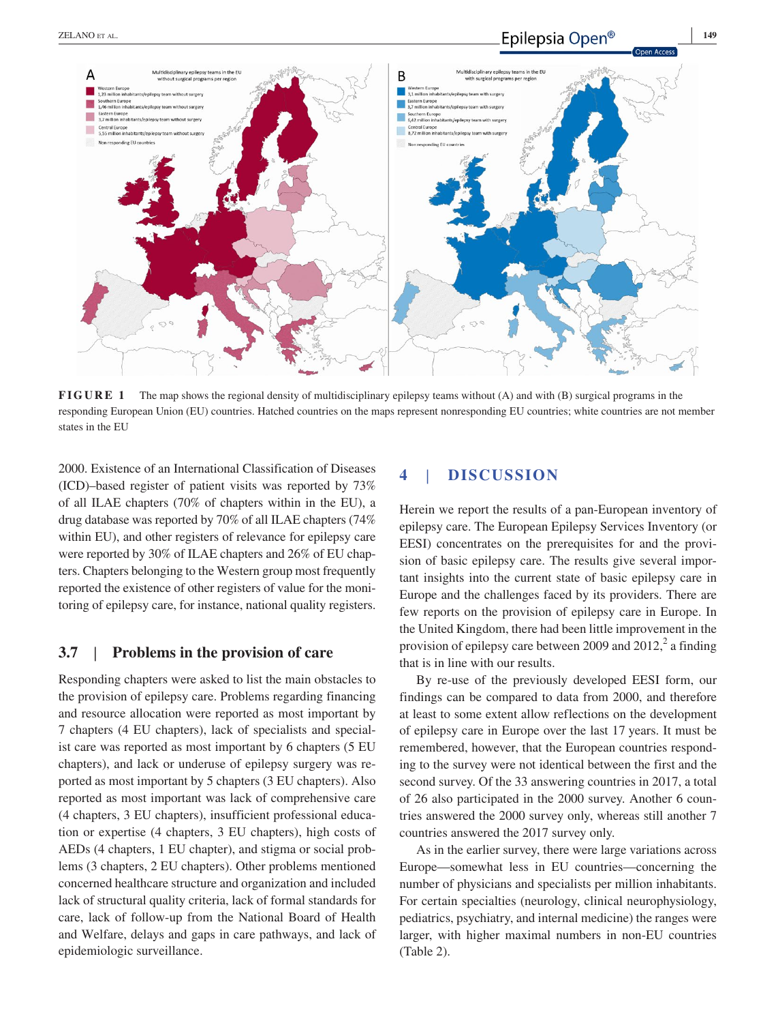

**FIGURE** 1 The map shows the regional density of multidisciplinary epilepsy teams without (A) and with (B) surgical programs in the responding European Union (EU) countries. Hatched countries on the maps represent nonresponding EU countries; white countries are not member states in the EU

2000. Existence of an International Classification of Diseases (ICD)–based register of patient visits was reported by 73% of all ILAE chapters (70% of chapters within in the EU), a drug database was reported by 70% of all ILAE chapters (74% within EU), and other registers of relevance for epilepsy care were reported by 30% of ILAE chapters and 26% of EU chapters. Chapters belonging to the Western group most frequently reported the existence of other registers of value for the monitoring of epilepsy care, for instance, national quality registers.

### **3.7** | **Problems in the provision of care**

Responding chapters were asked to list the main obstacles to the provision of epilepsy care. Problems regarding financing and resource allocation were reported as most important by 7 chapters (4 EU chapters), lack of specialists and specialist care was reported as most important by 6 chapters (5 EU chapters), and lack or underuse of epilepsy surgery was reported as most important by 5 chapters (3 EU chapters). Also reported as most important was lack of comprehensive care (4 chapters, 3 EU chapters), insufficient professional education or expertise (4 chapters, 3 EU chapters), high costs of AEDs (4 chapters, 1 EU chapter), and stigma or social problems (3 chapters, 2 EU chapters). Other problems mentioned concerned healthcare structure and organization and included lack of structural quality criteria, lack of formal standards for care, lack of follow-up from the National Board of Health and Welfare, delays and gaps in care pathways, and lack of epidemiologic surveillance.

# **4** | **DISCUSSION**

Herein we report the results of a pan-European inventory of epilepsy care. The European Epilepsy Services Inventory (or EESI) concentrates on the prerequisites for and the provision of basic epilepsy care. The results give several important insights into the current state of basic epilepsy care in Europe and the challenges faced by its providers. There are few reports on the provision of epilepsy care in Europe. In the United Kingdom, there had been little improvement in the provision of epilepsy care between 2009 and 2012, $^2$  a finding that is in line with our results.

By re-use of the previously developed EESI form, our findings can be compared to data from 2000, and therefore at least to some extent allow reflections on the development of epilepsy care in Europe over the last 17 years. It must be remembered, however, that the European countries responding to the survey were not identical between the first and the second survey. Of the 33 answering countries in 2017, a total of 26 also participated in the 2000 survey. Another 6 countries answered the 2000 survey only, whereas still another 7 countries answered the 2017 survey only.

As in the earlier survey, there were large variations across Europe—somewhat less in EU countries—concerning the number of physicians and specialists per million inhabitants. For certain specialties (neurology, clinical neurophysiology, pediatrics, psychiatry, and internal medicine) the ranges were larger, with higher maximal numbers in non-EU countries (Table 2).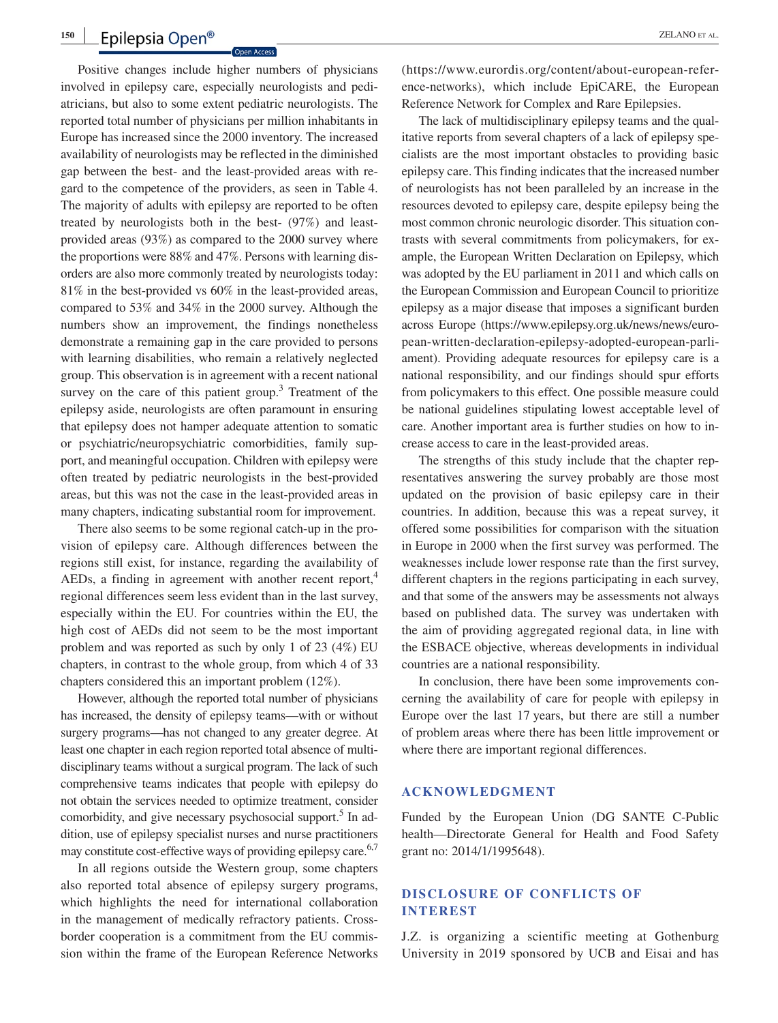#### **<sup>150</sup> <sup>|</sup>** Epilepsia Open<sup>®</sup> 2ELANO ET AL.

Positive changes include higher numbers of physicians involved in epilepsy care, especially neurologists and pediatricians, but also to some extent pediatric neurologists. The reported total number of physicians per million inhabitants in Europe has increased since the 2000 inventory. The increased availability of neurologists may be reflected in the diminished gap between the best- and the least-provided areas with regard to the competence of the providers, as seen in Table 4. The majority of adults with epilepsy are reported to be often treated by neurologists both in the best- (97%) and leastprovided areas (93%) as compared to the 2000 survey where the proportions were 88% and 47%. Persons with learning disorders are also more commonly treated by neurologists today: 81% in the best-provided vs 60% in the least-provided areas, compared to 53% and 34% in the 2000 survey. Although the numbers show an improvement, the findings nonetheless demonstrate a remaining gap in the care provided to persons with learning disabilities, who remain a relatively neglected group. This observation is in agreement with a recent national survey on the care of this patient group.<sup>3</sup> Treatment of the epilepsy aside, neurologists are often paramount in ensuring that epilepsy does not hamper adequate attention to somatic or psychiatric/neuropsychiatric comorbidities, family support, and meaningful occupation. Children with epilepsy were often treated by pediatric neurologists in the best-provided areas, but this was not the case in the least-provided areas in many chapters, indicating substantial room for improvement.

There also seems to be some regional catch-up in the provision of epilepsy care. Although differences between the regions still exist, for instance, regarding the availability of AEDs, a finding in agreement with another recent report,<sup>4</sup> regional differences seem less evident than in the last survey, especially within the EU. For countries within the EU, the high cost of AEDs did not seem to be the most important problem and was reported as such by only 1 of 23 (4%) EU chapters, in contrast to the whole group, from which 4 of 33 chapters considered this an important problem (12%).

However, although the reported total number of physicians has increased, the density of epilepsy teams—with or without surgery programs—has not changed to any greater degree. At least one chapter in each region reported total absence of multidisciplinary teams without a surgical program. The lack of such comprehensive teams indicates that people with epilepsy do not obtain the services needed to optimize treatment, consider comorbidity, and give necessary psychosocial support.<sup>5</sup> In addition, use of epilepsy specialist nurses and nurse practitioners may constitute cost-effective ways of providing epilepsy care.<sup>6,7</sup>

In all regions outside the Western group, some chapters also reported total absence of epilepsy surgery programs, which highlights the need for international collaboration in the management of medically refractory patients. Crossborder cooperation is a commitment from the EU commission within the frame of the European Reference Networks ([https://www.eurordis.org/content/about-european-refer](https://www.eurordis.org/content/about-european-reference-networks)[ence-networks](https://www.eurordis.org/content/about-european-reference-networks)), which include EpiCARE, the European Reference Network for Complex and Rare Epilepsies.

The lack of multidisciplinary epilepsy teams and the qualitative reports from several chapters of a lack of epilepsy specialists are the most important obstacles to providing basic epilepsy care. This finding indicates that the increased number of neurologists has not been paralleled by an increase in the resources devoted to epilepsy care, despite epilepsy being the most common chronic neurologic disorder. This situation contrasts with several commitments from policymakers, for example, the European Written Declaration on Epilepsy, which was adopted by the EU parliament in 2011 and which calls on the European Commission and European Council to prioritize epilepsy as a major disease that imposes a significant burden across Europe [\(https://www.epilepsy.org.uk/news/news/euro](https://www.epilepsy.org.uk/news/news/european-written-declaration-epilepsy-adopted-european-parliament)[pean-written-declaration-epilepsy-adopted-european-parli](https://www.epilepsy.org.uk/news/news/european-written-declaration-epilepsy-adopted-european-parliament)[ament\)](https://www.epilepsy.org.uk/news/news/european-written-declaration-epilepsy-adopted-european-parliament). Providing adequate resources for epilepsy care is a national responsibility, and our findings should spur efforts from policymakers to this effect. One possible measure could be national guidelines stipulating lowest acceptable level of care. Another important area is further studies on how to increase access to care in the least-provided areas.

The strengths of this study include that the chapter representatives answering the survey probably are those most updated on the provision of basic epilepsy care in their countries. In addition, because this was a repeat survey, it offered some possibilities for comparison with the situation in Europe in 2000 when the first survey was performed. The weaknesses include lower response rate than the first survey, different chapters in the regions participating in each survey, and that some of the answers may be assessments not always based on published data. The survey was undertaken with the aim of providing aggregated regional data, in line with the ESBACE objective, whereas developments in individual countries are a national responsibility.

In conclusion, there have been some improvements concerning the availability of care for people with epilepsy in Europe over the last 17 years, but there are still a number of problem areas where there has been little improvement or where there are important regional differences.

#### **ACKNOWLEDGMENT**

Funded by the European Union (DG SANTE C-Public health—Directorate General for Health and Food Safety grant no: 2014/1/1995648).

### **DISCLOSURE OF CONFLICTS OF INTEREST**

J.Z. is organizing a scientific meeting at Gothenburg University in 2019 sponsored by UCB and Eisai and has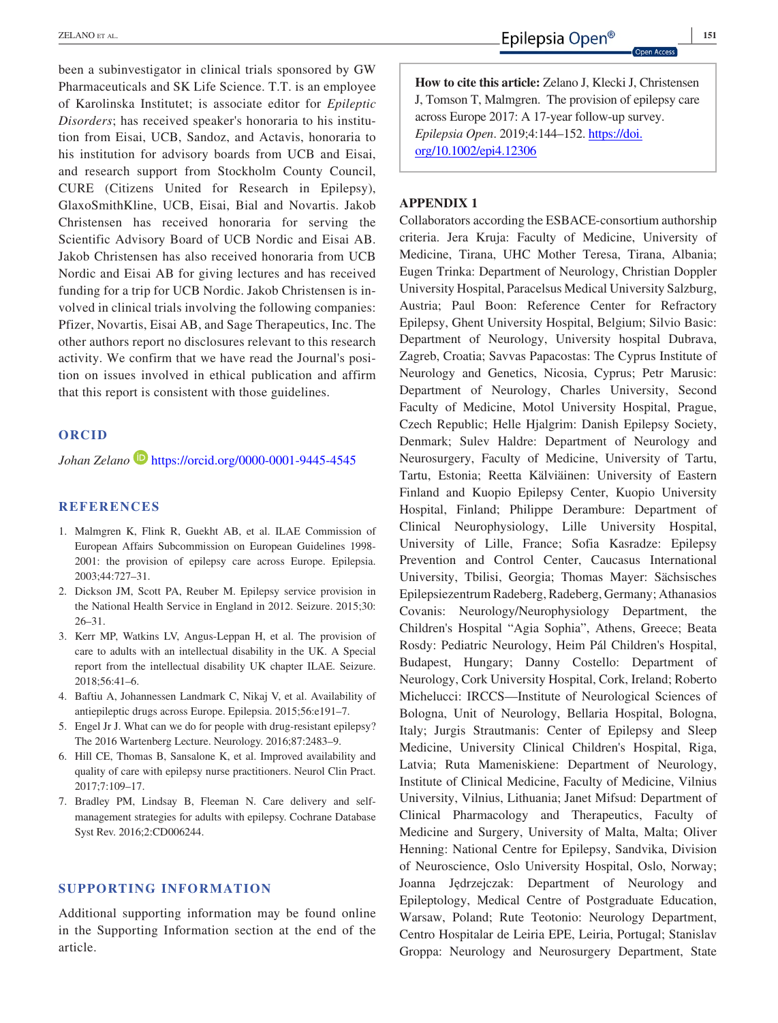been a subinvestigator in clinical trials sponsored by GW Pharmaceuticals and SK Life Science. T.T. is an employee of Karolinska Institutet; is associate editor for *Epileptic Disorders*; has received speaker's honoraria to his institution from Eisai, UCB, Sandoz, and Actavis, honoraria to his institution for advisory boards from UCB and Eisai, and research support from Stockholm County Council, CURE (Citizens United for Research in Epilepsy), GlaxoSmithKline, UCB, Eisai, Bial and Novartis. Jakob Christensen has received honoraria for serving the Scientific Advisory Board of UCB Nordic and Eisai AB. Jakob Christensen has also received honoraria from UCB Nordic and Eisai AB for giving lectures and has received funding for a trip for UCB Nordic. Jakob Christensen is involved in clinical trials involving the following companies: Pfizer, Novartis, Eisai AB, and Sage Therapeutics, Inc. The other authors report no disclosures relevant to this research activity. We confirm that we have read the Journal's position on issues involved in ethical publication and affirm that this report is consistent with those guidelines.

### **ORCID**

*Johan Zelano* <https://orcid.org/0000-0001-9445-4545>

#### **REFERENCES**

- 1. Malmgren K, Flink R, Guekht AB, et al. ILAE Commission of European Affairs Subcommission on European Guidelines 1998- 2001: the provision of epilepsy care across Europe. Epilepsia. 2003;44:727–31.
- 2. Dickson JM, Scott PA, Reuber M. Epilepsy service provision in the National Health Service in England in 2012. Seizure. 2015;30: 26–31.
- 3. Kerr MP, Watkins LV, Angus-Leppan H, et al. The provision of care to adults with an intellectual disability in the UK. A Special report from the intellectual disability UK chapter ILAE. Seizure. 2018;56:41–6.
- 4. Baftiu A, Johannessen Landmark C, Nikaj V, et al. Availability of antiepileptic drugs across Europe. Epilepsia. 2015;56:e191–7.
- 5. Engel Jr J. What can we do for people with drug-resistant epilepsy? The 2016 Wartenberg Lecture. Neurology. 2016;87:2483–9.
- 6. Hill CE, Thomas B, Sansalone K, et al. Improved availability and quality of care with epilepsy nurse practitioners. Neurol Clin Pract. 2017;7:109–17.
- 7. Bradley PM, Lindsay B, Fleeman N. Care delivery and selfmanagement strategies for adults with epilepsy. Cochrane Database Syst Rev. 2016;2:CD006244.

#### **SUPPORTING INFORMATION**

Additional supporting information may be found online in the Supporting Information section at the end of the article.

**How to cite this article:** Zelano J, Klecki J, Christensen J, Tomson T, Malmgren. The provision of epilepsy care across Europe 2017: A 17-year follow-up survey. *Epilepsia Open*. 2019;4:144–152. [https://doi.](https://doi.org/10.1002/epi4.12306) [org/10.1002/epi4.12306](https://doi.org/10.1002/epi4.12306)

#### **APPENDIX 1**

Collaborators according the ESBACE-consortium authorship criteria. Jera Kruja: Faculty of Medicine, University of Medicine, Tirana, UHC Mother Teresa, Tirana, Albania; Eugen Trinka: Department of Neurology, Christian Doppler University Hospital, Paracelsus Medical University Salzburg, Austria; Paul Boon: Reference Center for Refractory Epilepsy, Ghent University Hospital, Belgium; Silvio Basic: Department of Neurology, University hospital Dubrava, Zagreb, Croatia; Savvas Papacostas: The Cyprus Institute of Neurology and Genetics, Nicosia, Cyprus; Petr Marusic: Department of Neurology, Charles University, Second Faculty of Medicine, Motol University Hospital, Prague, Czech Republic; Helle Hjalgrim: Danish Epilepsy Society, Denmark; Sulev Haldre: Department of Neurology and Neurosurgery, Faculty of Medicine, University of Tartu, Tartu, Estonia; Reetta Kälviäinen: University of Eastern Finland and Kuopio Epilepsy Center, Kuopio University Hospital, Finland; Philippe Derambure: Department of Clinical Neurophysiology, Lille University Hospital, University of Lille, France; Sofia Kasradze: Epilepsy Prevention and Control Center, Caucasus International University, Tbilisi, Georgia; Thomas Mayer: Sächsisches Epilepsiezentrum Radeberg, Radeberg, Germany; Athanasios Covanis: Neurology/Neurophysiology Department, the Children's Hospital "Agia Sophia", Athens, Greece; Beata Rosdy: Pediatric Neurology, Heim Pál Children's Hospital, Budapest, Hungary; Danny Costello: Department of Neurology, Cork University Hospital, Cork, Ireland; Roberto Michelucci: IRCCS—Institute of Neurological Sciences of Bologna, Unit of Neurology, Bellaria Hospital, Bologna, Italy; Jurgis Strautmanis: Center of Epilepsy and Sleep Medicine, University Clinical Children's Hospital, Riga, Latvia; Ruta Mameniskiene: Department of Neurology, Institute of Clinical Medicine, Faculty of Medicine, Vilnius University, Vilnius, Lithuania; Janet Mifsud: Department of Clinical Pharmacology and Therapeutics, Faculty of Medicine and Surgery, University of Malta, Malta; Oliver Henning: National Centre for Epilepsy, Sandvika, Division of Neuroscience, Oslo University Hospital, Oslo, Norway; Joanna Jędrzejczak: Department of Neurology and Epileptology, Medical Centre of Postgraduate Education, Warsaw, Poland; Rute Teotonio: Neurology Department, Centro Hospitalar de Leiria EPE, Leiria, Portugal; Stanislav Groppa: Neurology and Neurosurgery Department, State